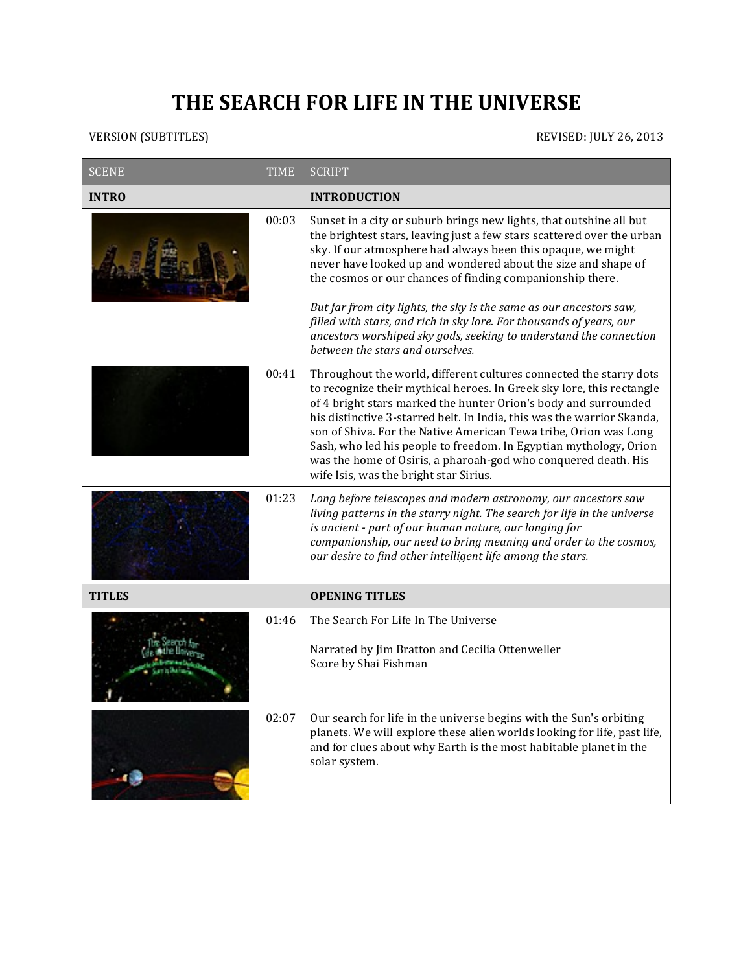## THE SEARCH FOR LIFE IN THE UNIVERSE

## VERSION (SUBTITLES) REVISED: JULY 26, 2013

| <b>SCENE</b>  | <b>TIME</b> | <b>SCRIPT</b>                                                                                                                                                                                                                                                                                                                                                                                                                                                                                                                                                                                        |
|---------------|-------------|------------------------------------------------------------------------------------------------------------------------------------------------------------------------------------------------------------------------------------------------------------------------------------------------------------------------------------------------------------------------------------------------------------------------------------------------------------------------------------------------------------------------------------------------------------------------------------------------------|
| <b>INTRO</b>  |             | <b>INTRODUCTION</b>                                                                                                                                                                                                                                                                                                                                                                                                                                                                                                                                                                                  |
|               | 00:03       | Sunset in a city or suburb brings new lights, that outshine all but<br>the brightest stars, leaving just a few stars scattered over the urban<br>sky. If our atmosphere had always been this opaque, we might<br>never have looked up and wondered about the size and shape of<br>the cosmos or our chances of finding companionship there.<br>But far from city lights, the sky is the same as our ancestors saw,<br>filled with stars, and rich in sky lore. For thousands of years, our<br>ancestors worshiped sky gods, seeking to understand the connection<br>between the stars and ourselves. |
|               | 00:41       | Throughout the world, different cultures connected the starry dots<br>to recognize their mythical heroes. In Greek sky lore, this rectangle<br>of 4 bright stars marked the hunter Orion's body and surrounded<br>his distinctive 3-starred belt. In India, this was the warrior Skanda,<br>son of Shiva. For the Native American Tewa tribe, Orion was Long<br>Sash, who led his people to freedom. In Egyptian mythology, Orion<br>was the home of Osiris, a pharoah-god who conquered death. His<br>wife Isis, was the bright star Sirius.                                                        |
|               | 01:23       | Long before telescopes and modern astronomy, our ancestors saw<br>living patterns in the starry night. The search for life in the universe<br>is ancient - part of our human nature, our longing for<br>companionship, our need to bring meaning and order to the cosmos,<br>our desire to find other intelligent life among the stars.                                                                                                                                                                                                                                                              |
| <b>TITLES</b> |             | <b>OPENING TITLES</b>                                                                                                                                                                                                                                                                                                                                                                                                                                                                                                                                                                                |
|               | 01:46       | The Search For Life In The Universe<br>Narrated by Jim Bratton and Cecilia Ottenweller<br>Score by Shai Fishman                                                                                                                                                                                                                                                                                                                                                                                                                                                                                      |
|               | 02:07       | Our search for life in the universe begins with the Sun's orbiting<br>planets. We will explore these alien worlds looking for life, past life,<br>and for clues about why Earth is the most habitable planet in the<br>solar system.                                                                                                                                                                                                                                                                                                                                                                 |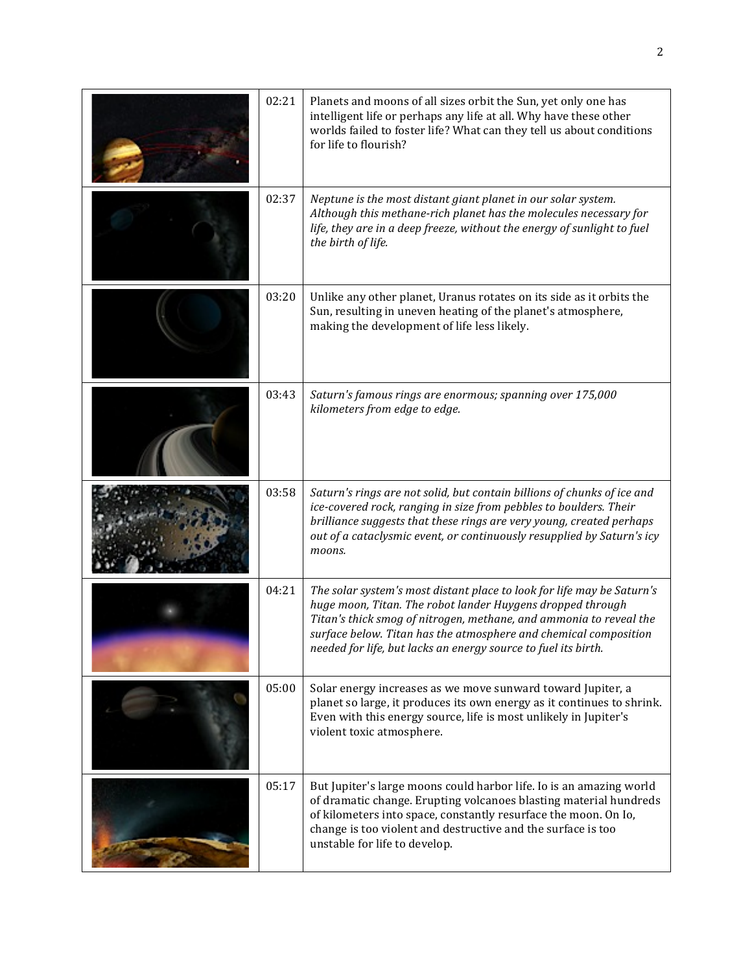| 02:21 | Planets and moons of all sizes orbit the Sun, yet only one has<br>intelligent life or perhaps any life at all. Why have these other<br>worlds failed to foster life? What can they tell us about conditions<br>for life to flourish?                                                                                                             |
|-------|--------------------------------------------------------------------------------------------------------------------------------------------------------------------------------------------------------------------------------------------------------------------------------------------------------------------------------------------------|
| 02:37 | Neptune is the most distant giant planet in our solar system.<br>Although this methane-rich planet has the molecules necessary for<br>life, they are in a deep freeze, without the energy of sunlight to fuel<br>the birth of life.                                                                                                              |
| 03:20 | Unlike any other planet, Uranus rotates on its side as it orbits the<br>Sun, resulting in uneven heating of the planet's atmosphere,<br>making the development of life less likely.                                                                                                                                                              |
| 03:43 | Saturn's famous rings are enormous; spanning over 175,000<br>kilometers from edge to edge.                                                                                                                                                                                                                                                       |
| 03:58 | Saturn's rings are not solid, but contain billions of chunks of ice and<br>ice-covered rock, ranging in size from pebbles to boulders. Their<br>brilliance suggests that these rings are very young, created perhaps<br>out of a cataclysmic event, or continuously resupplied by Saturn's icy<br>moons.                                         |
| 04:21 | The solar system's most distant place to look for life may be Saturn's<br>huge moon, Titan. The robot lander Huygens dropped through<br>Titan's thick smog of nitrogen, methane, and ammonia to reveal the<br>surface below. Titan has the atmosphere and chemical composition<br>needed for life, but lacks an energy source to fuel its birth. |
| 05:00 | Solar energy increases as we move sunward toward Jupiter, a<br>planet so large, it produces its own energy as it continues to shrink.<br>Even with this energy source, life is most unlikely in Jupiter's<br>violent toxic atmosphere.                                                                                                           |
| 05:17 | But Jupiter's large moons could harbor life. Io is an amazing world<br>of dramatic change. Erupting volcanoes blasting material hundreds<br>of kilometers into space, constantly resurface the moon. On Io,<br>change is too violent and destructive and the surface is too<br>unstable for life to develop.                                     |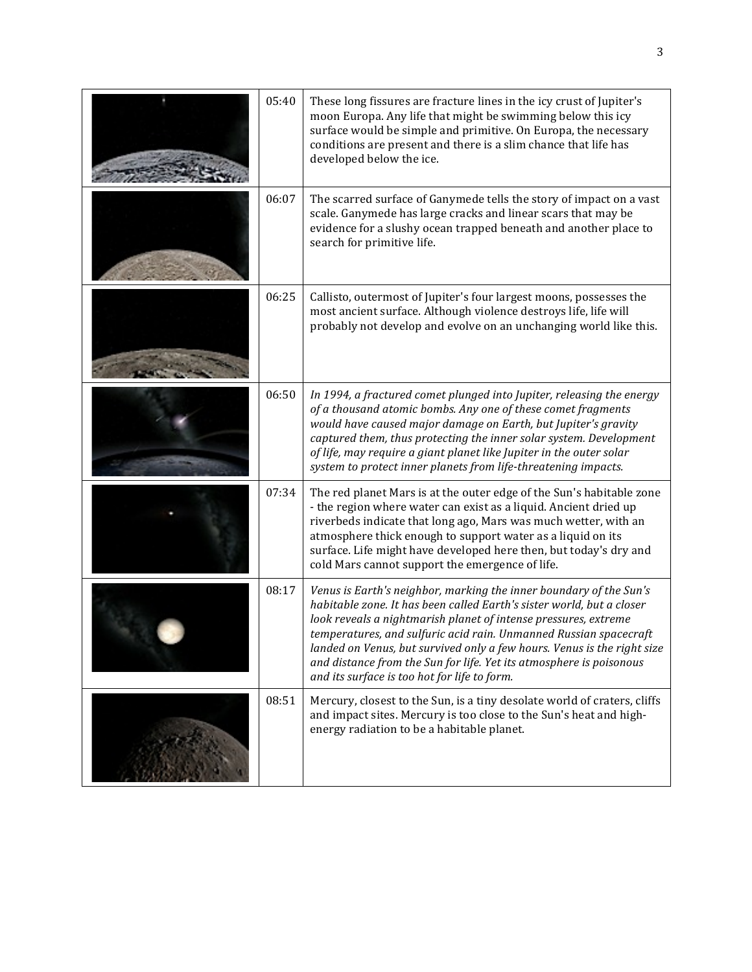| 05:40 | These long fissures are fracture lines in the icy crust of Jupiter's<br>moon Europa. Any life that might be swimming below this icy<br>surface would be simple and primitive. On Europa, the necessary<br>conditions are present and there is a slim chance that life has<br>developed below the ice.                                                                                                                                                                                 |
|-------|---------------------------------------------------------------------------------------------------------------------------------------------------------------------------------------------------------------------------------------------------------------------------------------------------------------------------------------------------------------------------------------------------------------------------------------------------------------------------------------|
| 06:07 | The scarred surface of Ganymede tells the story of impact on a vast<br>scale. Ganymede has large cracks and linear scars that may be<br>evidence for a slushy ocean trapped beneath and another place to<br>search for primitive life.                                                                                                                                                                                                                                                |
| 06:25 | Callisto, outermost of Jupiter's four largest moons, possesses the<br>most ancient surface. Although violence destroys life, life will<br>probably not develop and evolve on an unchanging world like this.                                                                                                                                                                                                                                                                           |
| 06:50 | In 1994, a fractured comet plunged into Jupiter, releasing the energy<br>of a thousand atomic bombs. Any one of these comet fragments<br>would have caused major damage on Earth, but Jupiter's gravity<br>captured them, thus protecting the inner solar system. Development<br>of life, may require a giant planet like Jupiter in the outer solar<br>system to protect inner planets from life-threatening impacts.                                                                |
| 07:34 | The red planet Mars is at the outer edge of the Sun's habitable zone<br>- the region where water can exist as a liquid. Ancient dried up<br>riverbeds indicate that long ago, Mars was much wetter, with an<br>atmosphere thick enough to support water as a liquid on its<br>surface. Life might have developed here then, but today's dry and<br>cold Mars cannot support the emergence of life.                                                                                    |
| 08:17 | Venus is Earth's neighbor, marking the inner boundary of the Sun's<br>habitable zone. It has been called Earth's sister world, but a closer<br>look reveals a nightmarish planet of intense pressures, extreme<br>temperatures, and sulfuric acid rain. Unmanned Russian spacecraft<br>landed on Venus, but survived only a few hours. Venus is the right size<br>and distance from the Sun for life. Yet its atmosphere is poisonous<br>and its surface is too hot for life to form. |
| 08:51 | Mercury, closest to the Sun, is a tiny desolate world of craters, cliffs<br>and impact sites. Mercury is too close to the Sun's heat and high-<br>energy radiation to be a habitable planet.                                                                                                                                                                                                                                                                                          |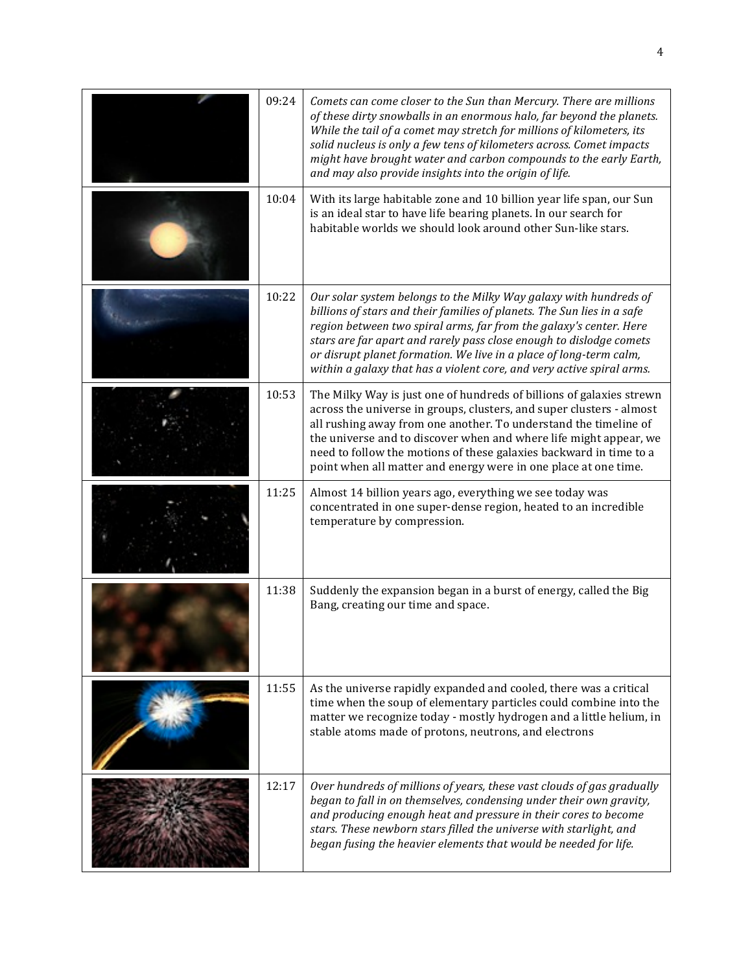| 09:24 | Comets can come closer to the Sun than Mercury. There are millions<br>of these dirty snowballs in an enormous halo, far beyond the planets.<br>While the tail of a comet may stretch for millions of kilometers, its<br>solid nucleus is only a few tens of kilometers across. Comet impacts<br>might have brought water and carbon compounds to the early Earth,<br>and may also provide insights into the origin of life.              |
|-------|------------------------------------------------------------------------------------------------------------------------------------------------------------------------------------------------------------------------------------------------------------------------------------------------------------------------------------------------------------------------------------------------------------------------------------------|
| 10:04 | With its large habitable zone and 10 billion year life span, our Sun<br>is an ideal star to have life bearing planets. In our search for<br>habitable worlds we should look around other Sun-like stars.                                                                                                                                                                                                                                 |
| 10:22 | Our solar system belongs to the Milky Way galaxy with hundreds of<br>billions of stars and their families of planets. The Sun lies in a safe<br>region between two spiral arms, far from the galaxy's center. Here<br>stars are far apart and rarely pass close enough to dislodge comets<br>or disrupt planet formation. We live in a place of long-term calm,<br>within a galaxy that has a violent core, and very active spiral arms. |
| 10:53 | The Milky Way is just one of hundreds of billions of galaxies strewn<br>across the universe in groups, clusters, and super clusters - almost<br>all rushing away from one another. To understand the timeline of<br>the universe and to discover when and where life might appear, we<br>need to follow the motions of these galaxies backward in time to a<br>point when all matter and energy were in one place at one time.           |
| 11:25 | Almost 14 billion years ago, everything we see today was<br>concentrated in one super-dense region, heated to an incredible<br>temperature by compression.                                                                                                                                                                                                                                                                               |
| 11:38 | Suddenly the expansion began in a burst of energy, called the Big<br>Bang, creating our time and space.                                                                                                                                                                                                                                                                                                                                  |
| 11:55 | As the universe rapidly expanded and cooled, there was a critical<br>time when the soup of elementary particles could combine into the<br>matter we recognize today - mostly hydrogen and a little helium, in<br>stable atoms made of protons, neutrons, and electrons                                                                                                                                                                   |
| 12:17 | Over hundreds of millions of years, these vast clouds of gas gradually<br>began to fall in on themselves, condensing under their own gravity,<br>and producing enough heat and pressure in their cores to become<br>stars. These newborn stars filled the universe with starlight, and<br>began fusing the heavier elements that would be needed for life.                                                                               |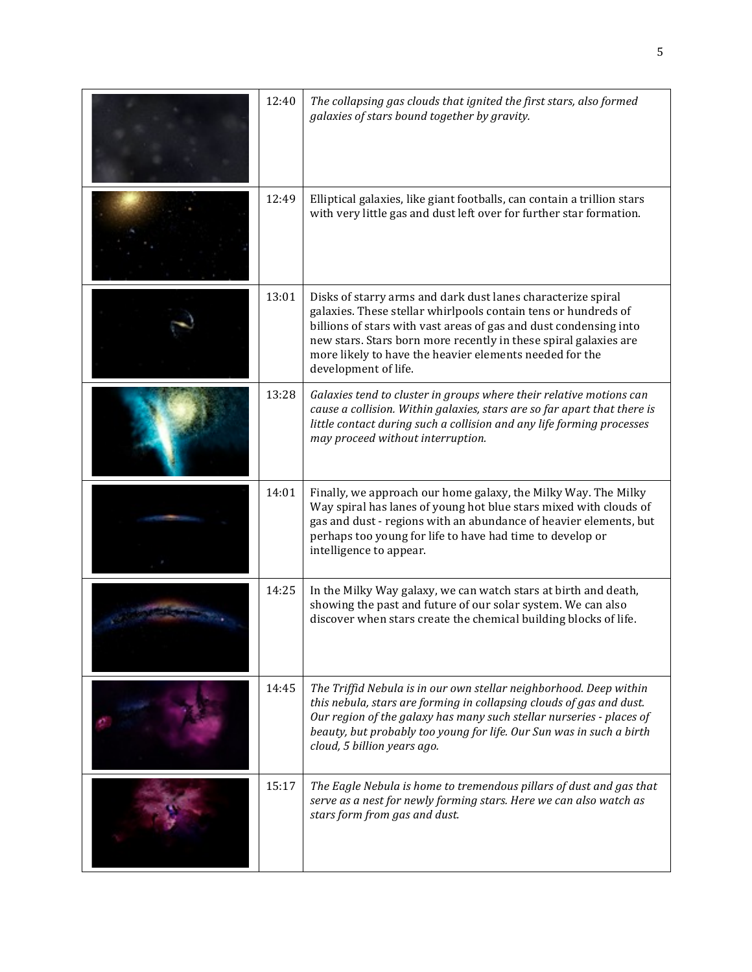| 12:40 | The collapsing gas clouds that ignited the first stars, also formed<br>galaxies of stars bound together by gravity.                                                                                                                                                                                                                                        |
|-------|------------------------------------------------------------------------------------------------------------------------------------------------------------------------------------------------------------------------------------------------------------------------------------------------------------------------------------------------------------|
| 12:49 | Elliptical galaxies, like giant footballs, can contain a trillion stars<br>with very little gas and dust left over for further star formation.                                                                                                                                                                                                             |
| 13:01 | Disks of starry arms and dark dust lanes characterize spiral<br>galaxies. These stellar whirlpools contain tens or hundreds of<br>billions of stars with vast areas of gas and dust condensing into<br>new stars. Stars born more recently in these spiral galaxies are<br>more likely to have the heavier elements needed for the<br>development of life. |
| 13:28 | Galaxies tend to cluster in groups where their relative motions can<br>cause a collision. Within galaxies, stars are so far apart that there is<br>little contact during such a collision and any life forming processes<br>may proceed without interruption.                                                                                              |
| 14:01 | Finally, we approach our home galaxy, the Milky Way. The Milky<br>Way spiral has lanes of young hot blue stars mixed with clouds of<br>gas and dust - regions with an abundance of heavier elements, but<br>perhaps too young for life to have had time to develop or<br>intelligence to appear.                                                           |
| 14:25 | In the Milky Way galaxy, we can watch stars at birth and death,<br>showing the past and future of our solar system. We can also<br>discover when stars create the chemical building blocks of life.                                                                                                                                                        |
| 14:45 | The Triffid Nebula is in our own stellar neighborhood. Deep within<br>this nebula, stars are forming in collapsing clouds of gas and dust.<br>Our region of the galaxy has many such stellar nurseries - places of<br>beauty, but probably too young for life. Our Sun was in such a birth<br>cloud, 5 billion years ago.                                  |
| 15:17 | The Eagle Nebula is home to tremendous pillars of dust and gas that<br>serve as a nest for newly forming stars. Here we can also watch as<br>stars form from gas and dust.                                                                                                                                                                                 |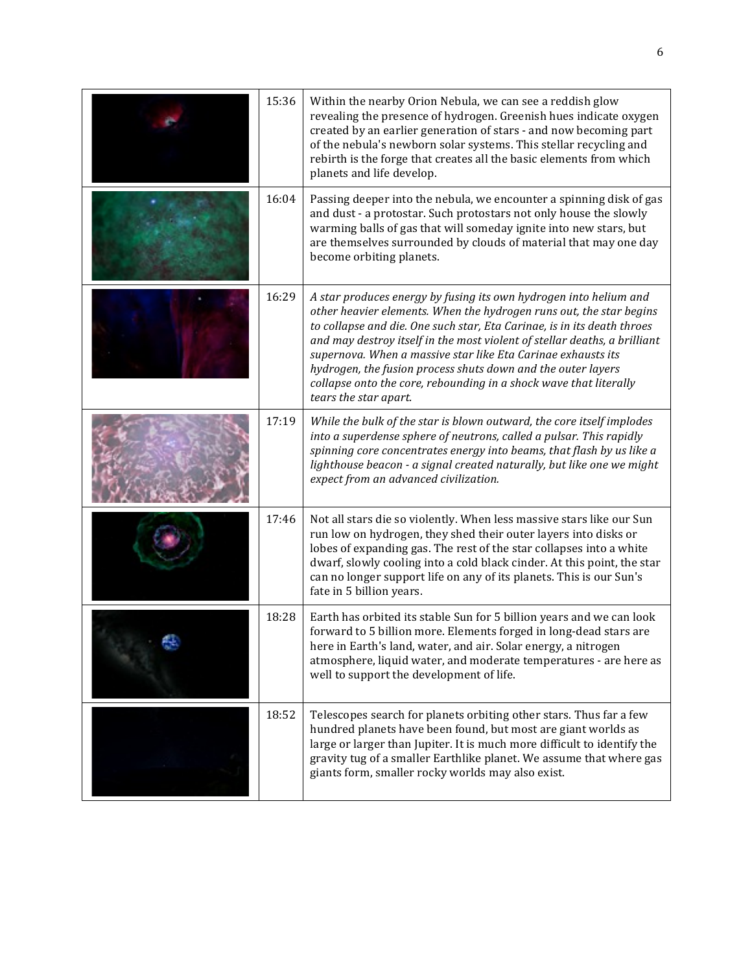| 15:36 | Within the nearby Orion Nebula, we can see a reddish glow<br>revealing the presence of hydrogen. Greenish hues indicate oxygen<br>created by an earlier generation of stars - and now becoming part<br>of the nebula's newborn solar systems. This stellar recycling and<br>rebirth is the forge that creates all the basic elements from which<br>planets and life develop.                                                                                                                                                   |
|-------|--------------------------------------------------------------------------------------------------------------------------------------------------------------------------------------------------------------------------------------------------------------------------------------------------------------------------------------------------------------------------------------------------------------------------------------------------------------------------------------------------------------------------------|
| 16:04 | Passing deeper into the nebula, we encounter a spinning disk of gas<br>and dust - a protostar. Such protostars not only house the slowly<br>warming balls of gas that will someday ignite into new stars, but<br>are themselves surrounded by clouds of material that may one day<br>become orbiting planets.                                                                                                                                                                                                                  |
| 16:29 | A star produces energy by fusing its own hydrogen into helium and<br>other heavier elements. When the hydrogen runs out, the star begins<br>to collapse and die. One such star, Eta Carinae, is in its death throes<br>and may destroy itself in the most violent of stellar deaths, a brilliant<br>supernova. When a massive star like Eta Carinae exhausts its<br>hydrogen, the fusion process shuts down and the outer layers<br>collapse onto the core, rebounding in a shock wave that literally<br>tears the star apart. |
| 17:19 | While the bulk of the star is blown outward, the core itself implodes<br>into a superdense sphere of neutrons, called a pulsar. This rapidly<br>spinning core concentrates energy into beams, that flash by us like a<br>lighthouse beacon - a signal created naturally, but like one we might<br>expect from an advanced civilization.                                                                                                                                                                                        |
| 17:46 | Not all stars die so violently. When less massive stars like our Sun<br>run low on hydrogen, they shed their outer layers into disks or<br>lobes of expanding gas. The rest of the star collapses into a white<br>dwarf, slowly cooling into a cold black cinder. At this point, the star<br>can no longer support life on any of its planets. This is our Sun's<br>fate in 5 billion years.                                                                                                                                   |
| 18:28 | Earth has orbited its stable Sun for 5 billion years and we can look<br>forward to 5 billion more. Elements forged in long-dead stars are<br>here in Earth's land, water, and air. Solar energy, a nitrogen<br>atmosphere, liquid water, and moderate temperatures - are here as<br>well to support the development of life.                                                                                                                                                                                                   |
| 18:52 | Telescopes search for planets orbiting other stars. Thus far a few<br>hundred planets have been found, but most are giant worlds as<br>large or larger than Jupiter. It is much more difficult to identify the<br>gravity tug of a smaller Earthlike planet. We assume that where gas<br>giants form, smaller rocky worlds may also exist.                                                                                                                                                                                     |